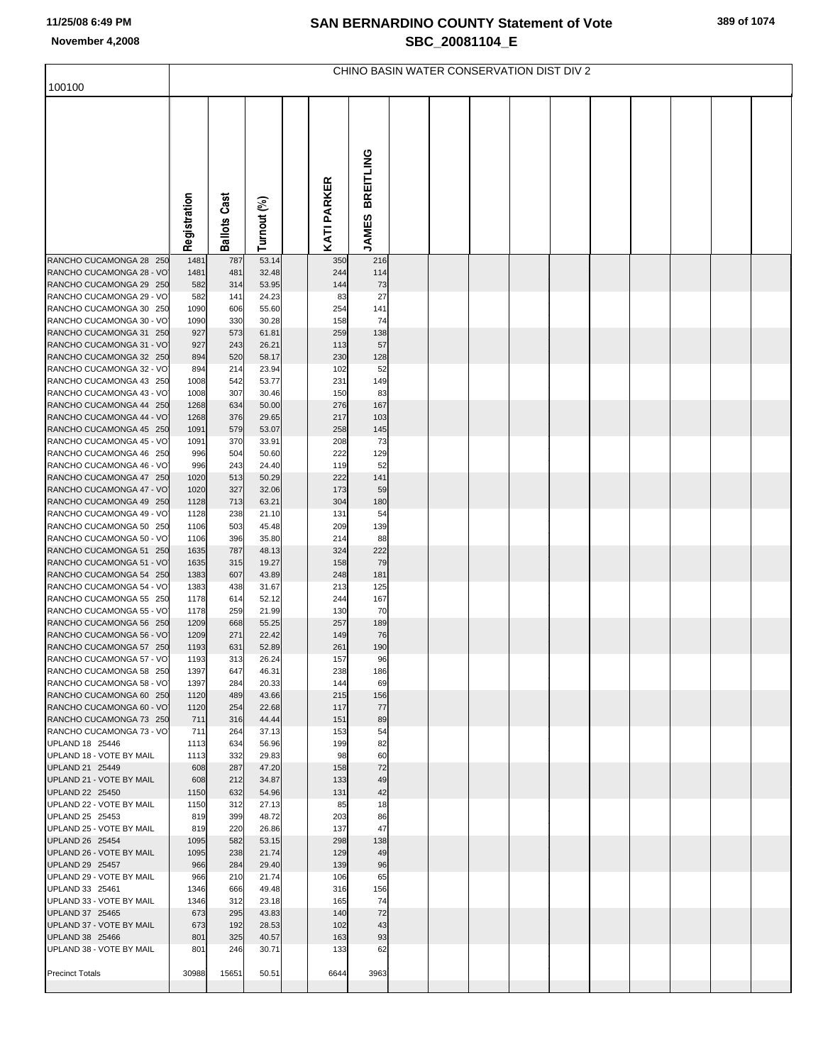## **SAN BERNARDINO COUNTY Statement of Vote November 4,2008 SBC\_20081104\_E**

| 100100                                              | CHINO BASIN WATER CONSERVATION DIST DIV 2 |                     |                |  |             |                                  |  |  |  |  |  |  |  |  |
|-----------------------------------------------------|-------------------------------------------|---------------------|----------------|--|-------------|----------------------------------|--|--|--|--|--|--|--|--|
|                                                     |                                           |                     |                |  |             |                                  |  |  |  |  |  |  |  |  |
|                                                     | Registration                              | <b>Ballots Cast</b> | Turnout (%)    |  | KATI PARKER | <b>BREITLING</b><br><b>JAMES</b> |  |  |  |  |  |  |  |  |
| RANCHO CUCAMONGA 28 250                             | 1481                                      | 787                 | 53.14          |  | 350         | 216                              |  |  |  |  |  |  |  |  |
| RANCHO CUCAMONGA 28 - VO<br>RANCHO CUCAMONGA 29 250 | 1481<br>582                               | 481<br>314          | 32.48<br>53.95 |  | 244<br>144  | 114<br>73                        |  |  |  |  |  |  |  |  |
| RANCHO CUCAMONGA 29 - VO                            | 582                                       | 141                 | 24.23          |  | 83          | 27                               |  |  |  |  |  |  |  |  |
| RANCHO CUCAMONGA 30 250                             | 1090                                      | 606                 | 55.60          |  | 254         | 141                              |  |  |  |  |  |  |  |  |
| RANCHO CUCAMONGA 30 - VO                            | 1090                                      | 330                 | 30.28          |  | 158         | 74                               |  |  |  |  |  |  |  |  |
| RANCHO CUCAMONGA 31 250                             | 927                                       | 573                 | 61.81          |  | 259         | 138                              |  |  |  |  |  |  |  |  |
| RANCHO CUCAMONGA 31 - VO<br>RANCHO CUCAMONGA 32 250 | 927<br>894                                | 243<br>520          | 26.21<br>58.17 |  | 113<br>230  | 57<br>128                        |  |  |  |  |  |  |  |  |
| RANCHO CUCAMONGA 32 - VO                            | 894                                       | 214                 | 23.94          |  | 102         | 52                               |  |  |  |  |  |  |  |  |
| RANCHO CUCAMONGA 43 250                             | 1008                                      | 542                 | 53.77          |  | 231         | 149                              |  |  |  |  |  |  |  |  |
| RANCHO CUCAMONGA 43 - VO                            | 1008                                      | 307                 | 30.46          |  | 150         | 83                               |  |  |  |  |  |  |  |  |
| RANCHO CUCAMONGA 44 250                             | 1268                                      | 634                 | 50.00          |  | 276         | 167                              |  |  |  |  |  |  |  |  |
| RANCHO CUCAMONGA 44 - VO<br>RANCHO CUCAMONGA 45 250 | 1268<br>1091                              | 376<br>579          | 29.65<br>53.07 |  | 217<br>258  | 103<br>145                       |  |  |  |  |  |  |  |  |
| RANCHO CUCAMONGA 45 - VO                            | 1091                                      | 370                 | 33.91          |  | 208         | 73                               |  |  |  |  |  |  |  |  |
| RANCHO CUCAMONGA 46 250                             | 996                                       | 504                 | 50.60          |  | 222         | 129                              |  |  |  |  |  |  |  |  |
| RANCHO CUCAMONGA 46 - VO                            | 996                                       | 243                 | 24.40          |  | 119         | 52                               |  |  |  |  |  |  |  |  |
| RANCHO CUCAMONGA 47 250                             | 1020                                      | 513                 | 50.29          |  | 222         | 141                              |  |  |  |  |  |  |  |  |
| RANCHO CUCAMONGA 47 - VO<br>RANCHO CUCAMONGA 49 250 | 1020<br>1128                              | 327<br>713          | 32.06<br>63.21 |  | 173<br>304  | 59<br>180                        |  |  |  |  |  |  |  |  |
| RANCHO CUCAMONGA 49 - VO                            | 1128                                      | 238                 | 21.10          |  | 131         | 54                               |  |  |  |  |  |  |  |  |
| RANCHO CUCAMONGA 50 250                             | 1106                                      | 503                 | 45.48          |  | 209         | 139                              |  |  |  |  |  |  |  |  |
| RANCHO CUCAMONGA 50 - VO                            | 1106                                      | 396                 | 35.80          |  | 214         | 88                               |  |  |  |  |  |  |  |  |
| RANCHO CUCAMONGA 51 250                             | 1635                                      | 787                 | 48.13          |  | 324         | 222                              |  |  |  |  |  |  |  |  |
| RANCHO CUCAMONGA 51 - VO<br>RANCHO CUCAMONGA 54 250 | 1635<br>1383                              | 315<br>607          | 19.27<br>43.89 |  | 158<br>248  | 79<br>181                        |  |  |  |  |  |  |  |  |
| RANCHO CUCAMONGA 54 - VO                            | 1383                                      | 438                 | 31.67          |  | 213         | 125                              |  |  |  |  |  |  |  |  |
| RANCHO CUCAMONGA 55 250                             | 1178                                      | 614                 | 52.12          |  | 244         | 167                              |  |  |  |  |  |  |  |  |
| RANCHO CUCAMONGA 55 - VO                            | 1178                                      | 259                 | 21.99          |  | 130         | 70                               |  |  |  |  |  |  |  |  |
| RANCHO CUCAMONGA 56 250<br>RANCHO CUCAMONGA 56 - VO | 1209<br>1209                              | 668<br>271          | 55.25<br>22.42 |  | 257<br>149  | 189<br>76                        |  |  |  |  |  |  |  |  |
| RANCHO CUCAMONGA 57 250                             | 1193                                      | 631                 | 52.89          |  | 261         | 190                              |  |  |  |  |  |  |  |  |
| RANCHO CUCAMONGA 57 - VO                            | 1193                                      | 313                 | 26.24          |  | 157         | 96                               |  |  |  |  |  |  |  |  |
| RANCHO CUCAMONGA 58 250                             | 1397                                      | 647                 | 46.31          |  | 238         | 186                              |  |  |  |  |  |  |  |  |
| RANCHO CUCAMONGA 58 - VO                            | 1397                                      | 284                 | 20.33          |  | 144         | 69                               |  |  |  |  |  |  |  |  |
| RANCHO CUCAMONGA 60 250<br>RANCHO CUCAMONGA 60 - VO | 1120<br>1120                              | 489<br>254          | 43.66<br>22.68 |  | 215<br>117  | 156<br>77                        |  |  |  |  |  |  |  |  |
| RANCHO CUCAMONGA 73 250                             | 711                                       | 316                 | 44.44          |  | 151         | 89                               |  |  |  |  |  |  |  |  |
| RANCHO CUCAMONGA 73 - VO                            | 711                                       | 264                 | 37.13          |  | 153         | 54                               |  |  |  |  |  |  |  |  |
| UPLAND 18 25446<br>UPLAND 18 - VOTE BY MAIL         | 1113<br>1113                              | 634<br>332          | 56.96<br>29.83 |  | 199<br>98   | 82<br>60                         |  |  |  |  |  |  |  |  |
| UPLAND 21 25449                                     | 608                                       | 287                 | 47.20          |  | 158         | 72                               |  |  |  |  |  |  |  |  |
| UPLAND 21 - VOTE BY MAIL                            | 608                                       | 212                 | 34.87          |  | 133         | 49                               |  |  |  |  |  |  |  |  |
| UPLAND 22 25450                                     | 1150                                      | 632                 | 54.96          |  | 131         | 42                               |  |  |  |  |  |  |  |  |
| UPLAND 22 - VOTE BY MAIL                            | 1150                                      | 312                 | 27.13          |  | 85          | 18                               |  |  |  |  |  |  |  |  |
| UPLAND 25 25453<br>UPLAND 25 - VOTE BY MAIL         | 819<br>819                                | 399<br>220          | 48.72<br>26.86 |  | 203<br>137  | 86<br>47                         |  |  |  |  |  |  |  |  |
| UPLAND 26 25454                                     | 1095                                      | 582                 | 53.15          |  | 298         | 138                              |  |  |  |  |  |  |  |  |
| UPLAND 26 - VOTE BY MAIL                            | 1095                                      | 238                 | 21.74          |  | 129         | 49                               |  |  |  |  |  |  |  |  |
| UPLAND 29 25457                                     | 966                                       | 284                 | 29.40          |  | 139         | 96                               |  |  |  |  |  |  |  |  |
| UPLAND 29 - VOTE BY MAIL<br>UPLAND 33 25461         | 966                                       | 210<br>666          | 21.74<br>49.48 |  | 106         | 65                               |  |  |  |  |  |  |  |  |
| UPLAND 33 - VOTE BY MAIL                            | 1346<br>1346                              | 312                 | 23.18          |  | 316<br>165  | 156<br>74                        |  |  |  |  |  |  |  |  |
| UPLAND 37 25465                                     | 673                                       | 295                 | 43.83          |  | 140         | 72                               |  |  |  |  |  |  |  |  |
| UPLAND 37 - VOTE BY MAIL                            | 673                                       | 192                 | 28.53          |  | 102         | 43                               |  |  |  |  |  |  |  |  |
| UPLAND 38 25466                                     | 801                                       | 325                 | 40.57          |  | 163         | 93                               |  |  |  |  |  |  |  |  |
| UPLAND 38 - VOTE BY MAIL                            | 801                                       | 246                 | 30.71          |  | 133         | 62                               |  |  |  |  |  |  |  |  |
| <b>Precinct Totals</b>                              | 30988                                     | 15651               | 50.51          |  | 6644        | 3963                             |  |  |  |  |  |  |  |  |
|                                                     |                                           |                     |                |  |             |                                  |  |  |  |  |  |  |  |  |